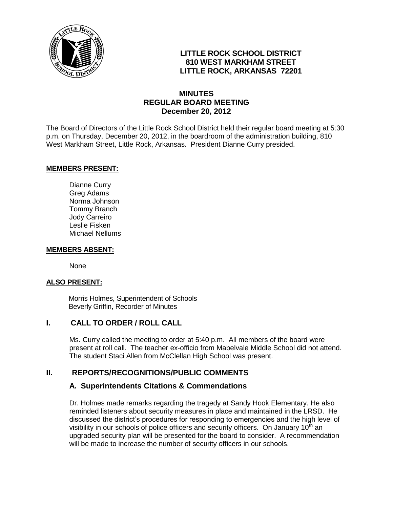

## **LITTLE ROCK SCHOOL DISTRICT 810 WEST MARKHAM STREET LITTLE ROCK, ARKANSAS 72201**

## **MINUTES REGULAR BOARD MEETING December 20, 2012**

The Board of Directors of the Little Rock School District held their regular board meeting at 5:30 p.m. on Thursday, December 20, 2012, in the boardroom of the administration building, 810 West Markham Street, Little Rock, Arkansas. President Dianne Curry presided.

#### **MEMBERS PRESENT:**

Dianne Curry Greg Adams Norma Johnson Tommy Branch Jody Carreiro Leslie Fisken Michael Nellums

#### **MEMBERS ABSENT:**

None

#### **ALSO PRESENT:**

 Morris Holmes, Superintendent of Schools Beverly Griffin, Recorder of Minutes

### **I. CALL TO ORDER / ROLL CALL**

Ms. Curry called the meeting to order at 5:40 p.m. All members of the board were present at roll call. The teacher ex-officio from Mabelvale Middle School did not attend. The student Staci Allen from McClellan High School was present.

### **II. REPORTS/RECOGNITIONS/PUBLIC COMMENTS**

### **A. Superintendents Citations & Commendations**

Dr. Holmes made remarks regarding the tragedy at Sandy Hook Elementary. He also reminded listeners about security measures in place and maintained in the LRSD. He discussed the district's procedures for responding to emergencies and the high level of visibility in our schools of police officers and security officers. On January  $10<sup>th</sup>$  an upgraded security plan will be presented for the board to consider. A recommendation will be made to increase the number of security officers in our schools.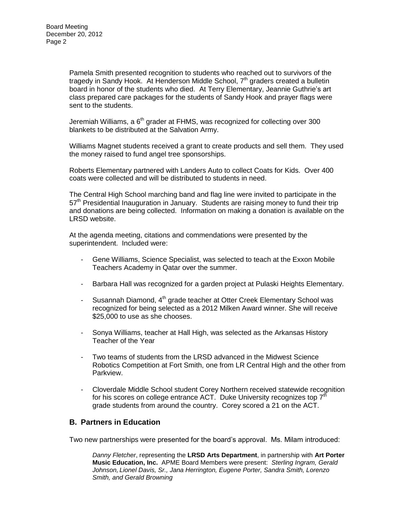Pamela Smith presented recognition to students who reached out to survivors of the tragedy in Sandy Hook. At Henderson Middle School, 7<sup>th</sup> graders created a bulletin board in honor of the students who died. At Terry Elementary, Jeannie Guthrie's art class prepared care packages for the students of Sandy Hook and prayer flags were sent to the students.

Jeremiah Williams, a  $6<sup>th</sup>$  grader at FHMS, was recognized for collecting over 300 blankets to be distributed at the Salvation Army.

Williams Magnet students received a grant to create products and sell them. They used the money raised to fund angel tree sponsorships.

Roberts Elementary partnered with Landers Auto to collect Coats for Kids. Over 400 coats were collected and will be distributed to students in need.

The Central High School marching band and flag line were invited to participate in the 57<sup>th</sup> Presidential Inauguration in January. Students are raising money to fund their trip and donations are being collected. Information on making a donation is available on the LRSD website.

At the agenda meeting, citations and commendations were presented by the superintendent. Included were:

- Gene Williams, Science Specialist, was selected to teach at the Exxon Mobile Teachers Academy in Qatar over the summer.
- Barbara Hall was recognized for a garden project at Pulaski Heights Elementary.
- Susannah Diamond,  $4<sup>th</sup>$  grade teacher at Otter Creek Elementary School was recognized for being selected as a 2012 Milken Award winner. She will receive \$25,000 to use as she chooses.
- Sonya Williams, teacher at Hall High, was selected as the Arkansas History Teacher of the Year
- Two teams of students from the LRSD advanced in the Midwest Science Robotics Competition at Fort Smith, one from LR Central High and the other from Parkview.
- Cloverdale Middle School student Corey Northern received statewide recognition for his scores on college entrance ACT. Duke University recognizes top  $7<sup>th</sup>$ grade students from around the country. Corey scored a 21 on the ACT.

#### **B. Partners in Education**

Two new partnerships were presented for the board's approval. Ms. Milam introduced:

*Danny Fletcher*, representing the **LRSD Arts Department**, in partnership with **Art Porter Music Education, Inc.** APME Board Members were present: *Sterling Ingram, Gerald Johnson, Lionel Davis, Sr., Jana Herrington, Eugene Porter, Sandra Smith, Lorenzo Smith, and Gerald Browning*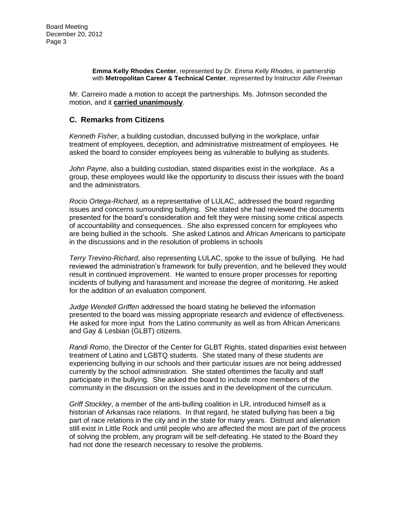#### **Emma Kelly Rhodes Center**, represented by *Dr. Emma Kelly Rhodes*, in partnership with **Metropolitan Career & Technical Center**, represented by Instructor *Allie Freeman*

Mr. Carreiro made a motion to accept the partnerships. Ms. Johnson seconded the motion, and it **carried unanimously**.

### **C. Remarks from Citizens**

*Kenneth Fisher*, a building custodian, discussed bullying in the workplace, unfair treatment of employees, deception, and administrative mistreatment of employees. He asked the board to consider employees being as vulnerable to bullying as students.

*John Payne*, also a building custodian, stated disparities exist in the workplace. As a group, these employees would like the opportunity to discuss their issues with the board and the administrators.

*Rocio Ortega-Richard*, as a representative of LULAC, addressed the board regarding issues and concerns surrounding bullying. She stated she had reviewed the documents presented for the board's consideration and felt they were missing some critical aspects of accountability and consequences. She also expressed concern for employees who are being bullied in the schools. She asked Latinos and African Americans to participate in the discussions and in the resolution of problems in schools

*Terry Trevino-Richard*, also representing LULAC, spoke to the issue of bullying. He had reviewed the administration's framework for bully prevention, and he believed they would result in continued improvement. He wanted to ensure proper processes for reporting incidents of bullying and harassment and increase the degree of monitoring. He asked for the addition of an evaluation component.

*Judge Wendell Griffen* addressed the board stating he believed the information presented to the board was missing appropriate research and evidence of effectiveness. He asked for more input from the Latino community as well as from African Americans and Gay & Lesbian (GLBT) citizens.

*Randi Romo*, the Director of the Center for GLBT Rights, stated disparities exist between treatment of Latino and LGBTQ students. She stated many of these students are experiencing bullying in our schools and their particular issues are not being addressed currently by the school administration. She stated oftentimes the faculty and staff participate in the bullying. She asked the board to include more members of the community in the discussion on the issues and in the development of the curriculum.

*Griff Stockley*, a member of the anti-bulling coalition in LR, introduced himself as a historian of Arkansas race relations. In that regard, he stated bullying has been a big part of race relations in the city and in the state for many years. Distrust and alienation still exist in Little Rock and until people who are affected the most are part of the process of solving the problem, any program will be self-defeating. He stated to the Board they had not done the research necessary to resolve the problems.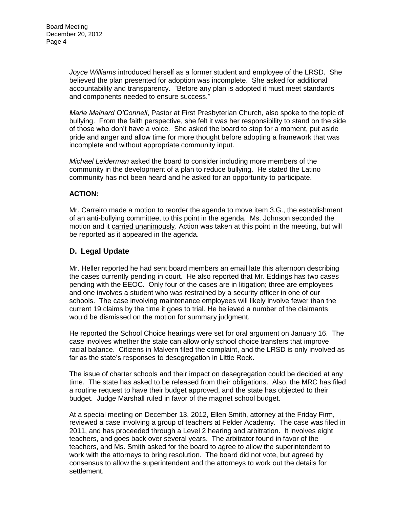*Joyce Williams* introduced herself as a former student and employee of the LRSD. She believed the plan presented for adoption was incomplete. She asked for additional accountability and transparency. "Before any plan is adopted it must meet standards and components needed to ensure success."

*Marie Mainard O'Connell*, Pastor at First Presbyterian Church, also spoke to the topic of bullying. From the faith perspective, she felt it was her responsibility to stand on the side of those who don't have a voice. She asked the board to stop for a moment, put aside pride and anger and allow time for more thought before adopting a framework that was incomplete and without appropriate community input.

*Michael Leiderman* asked the board to consider including more members of the community in the development of a plan to reduce bullying. He stated the Latino community has not been heard and he asked for an opportunity to participate.

#### **ACTION:**

Mr. Carreiro made a motion to reorder the agenda to move item 3.G., the establishment of an anti-bullying committee, to this point in the agenda. Ms. Johnson seconded the motion and it carried unanimously. Action was taken at this point in the meeting, but will be reported as it appeared in the agenda.

#### **D. Legal Update**

Mr. Heller reported he had sent board members an email late this afternoon describing the cases currently pending in court. He also reported that Mr. Eddings has two cases pending with the EEOC. Only four of the cases are in litigation; three are employees and one involves a student who was restrained by a security officer in one of our schools. The case involving maintenance employees will likely involve fewer than the current 19 claims by the time it goes to trial. He believed a number of the claimants would be dismissed on the motion for summary judgment.

He reported the School Choice hearings were set for oral argument on January 16. The case involves whether the state can allow only school choice transfers that improve racial balance. Citizens in Malvern filed the complaint, and the LRSD is only involved as far as the state's responses to desegregation in Little Rock.

The issue of charter schools and their impact on desegregation could be decided at any time. The state has asked to be released from their obligations. Also, the MRC has filed a routine request to have their budget approved, and the state has objected to their budget. Judge Marshall ruled in favor of the magnet school budget.

At a special meeting on December 13, 2012, Ellen Smith, attorney at the Friday Firm, reviewed a case involving a group of teachers at Felder Academy. The case was filed in 2011, and has proceeded through a Level 2 hearing and arbitration. It involves eight teachers, and goes back over several years. The arbitrator found in favor of the teachers, and Ms. Smith asked for the board to agree to allow the superintendent to work with the attorneys to bring resolution. The board did not vote, but agreed by consensus to allow the superintendent and the attorneys to work out the details for settlement.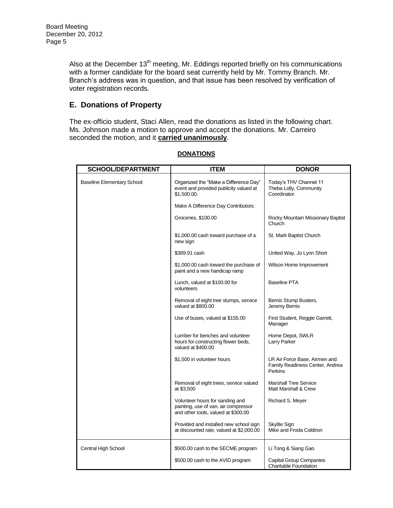Also at the December  $13<sup>th</sup>$  meeting, Mr. Eddings reported briefly on his communications with a former candidate for the board seat currently held by Mr. Tommy Branch. Mr. Branch's address was in question, and that issue has been resolved by verification of voter registration records.

# **E. Donations of Property**

The ex-officio student, Staci Allen, read the donations as listed in the following chart. Ms. Johnson made a motion to approve and accept the donations. Mr. Carreiro seconded the motion, and it **carried unanimously**.

| <b>SCHOOL/DEPARTMENT</b>          | <b>ITEM</b>                                                                                                    | <b>DONOR</b>                                                                       |
|-----------------------------------|----------------------------------------------------------------------------------------------------------------|------------------------------------------------------------------------------------|
| <b>Baseline Elementary School</b> | Organized the "Make a Difference Day"<br>event and provided publicity valued at<br>\$1.500.00.                 | Today's THV Channel 11<br>Theba Lolly, Community<br>Coordinator                    |
|                                   | Make A Difference Day Contributors:                                                                            |                                                                                    |
|                                   | Groceries, \$100.00                                                                                            | Rocky Mountain Missionary Baptist<br>Church                                        |
|                                   | \$1,000.00 cash toward purchase of a<br>new sign                                                               | St. Mark Baptist Church                                                            |
|                                   | \$389.91 cash                                                                                                  | United Way, Jo Lynn Short                                                          |
|                                   | \$1,000.00 cash toward the purchase of<br>paint and a new handicap ramp                                        | Wilson Home Improvement                                                            |
|                                   | Lunch, valued at \$100.00 for<br>volunteers                                                                    | <b>Baseline PTA</b>                                                                |
|                                   | Removal of eight tree stumps, service<br>valued at \$800.00                                                    | Bemis Stump Busters,<br>Jeremy Bemis                                               |
|                                   | Use of buses, valued at \$155.00                                                                               | First Student, Reggie Garrett,<br>Manager                                          |
|                                   | Lumber for benches and volunteer<br>hours for constructing flower beds,<br>valued at \$400.00                  | Home Depot, SWLR<br>Larry Parker                                                   |
|                                   | \$1,500 in volunteer hours                                                                                     | LR Air Force Base, Airmen and<br>Family Readiness Center, Andrea<br><b>Perkins</b> |
|                                   | Removal of eight trees, service valued<br>at \$3,500                                                           | <b>Marshall Tree Service</b><br>Matt Marshall & Crew                               |
|                                   | Volunteer hours for sanding and<br>painting, use of van, air compressor<br>and other tools, valued at \$300.00 | Richard S. Meyer                                                                   |
|                                   | Provided and installed new school sign<br>at discounted rate, valued at \$2,000.00                             | <b>Skylite Sign</b><br>Mike and Froda Coldiron                                     |
| Central High School               | \$500.00 cash to the SECME program                                                                             | Li Tong & Siang Gao                                                                |
|                                   | \$500.00 cash to the AVID program                                                                              | <b>Capital Group Companies</b><br>Charitable Foundation                            |

### **DONATIONS**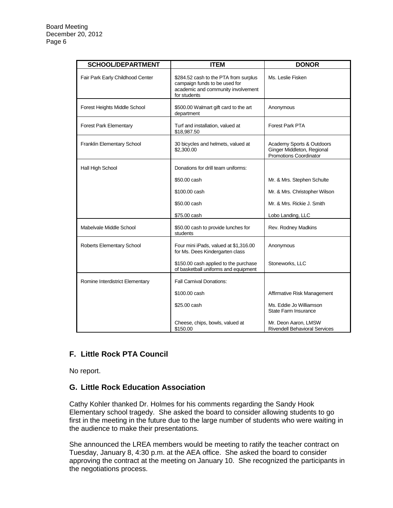| <b>SCHOOL/DEPARTMENT</b>         | <b>ITEM</b>                                                                                                                  | <b>DONOR</b>                                                                      |
|----------------------------------|------------------------------------------------------------------------------------------------------------------------------|-----------------------------------------------------------------------------------|
| Fair Park Early Childhood Center | \$284.52 cash to the PTA from surplus<br>campaign funds to be used for<br>academic and community involvement<br>for students | Ms. Leslie Fisken                                                                 |
| Forest Heights Middle School     | \$500.00 Walmart gift card to the art<br>department                                                                          | Anonymous                                                                         |
| <b>Forest Park Elementary</b>    | Turf and installation, valued at<br>\$18,987.50                                                                              | Forest Park PTA                                                                   |
| Franklin Elementary School       | 30 bicycles and helmets, valued at<br>\$2,300.00                                                                             | Academy Sports & Outdoors<br>Ginger Middleton, Regional<br>Promotions Coordinator |
| Hall High School                 | Donations for drill team uniforms:                                                                                           |                                                                                   |
|                                  | \$50,00 cash                                                                                                                 | Mr. & Mrs. Stephen Schulte                                                        |
|                                  | \$100,00 cash                                                                                                                | Mr. & Mrs. Christopher Wilson                                                     |
|                                  | \$50,00 cash                                                                                                                 | Mr. & Mrs. Rickie J. Smith                                                        |
|                                  | \$75.00 cash                                                                                                                 | Lobo Landing, LLC                                                                 |
| Mabelvale Middle School          | \$50.00 cash to provide lunches for<br>students                                                                              | Rev. Rodney Madkins                                                               |
| Roberts Elementary School        | Four mini iPads, valued at \$1,316.00<br>for Ms. Dees Kindergarten class                                                     | Anonymous                                                                         |
|                                  | \$150.00 cash applied to the purchase<br>of basketball uniforms and equipment                                                | Stoneworks, LLC                                                                   |
| Romine Interdistrict Elementary  | <b>Fall Carnival Donations:</b>                                                                                              |                                                                                   |
|                                  | \$100,00 cash                                                                                                                | Affirmative Risk Management                                                       |
|                                  | \$25,00 cash                                                                                                                 | Ms. Eddie Jo Williamson<br><b>State Farm Insurance</b>                            |
|                                  | Cheese, chips, bowls, valued at<br>\$150.00                                                                                  | Mr. Deon Aaron, LMSW<br><b>Rivendell Behavioral Services</b>                      |

# **F. Little Rock PTA Council**

No report.

### **G. Little Rock Education Association**

Cathy Kohler thanked Dr. Holmes for his comments regarding the Sandy Hook Elementary school tragedy. She asked the board to consider allowing students to go first in the meeting in the future due to the large number of students who were waiting in the audience to make their presentations.

She announced the LREA members would be meeting to ratify the teacher contract on Tuesday, January 8, 4:30 p.m. at the AEA office. She asked the board to consider approving the contract at the meeting on January 10. She recognized the participants in the negotiations process.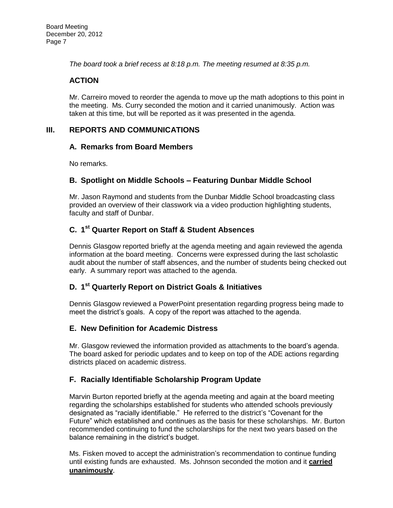*The board took a brief recess at 8:18 p.m. The meeting resumed at 8:35 p.m.*

## **ACTION**

Mr. Carreiro moved to reorder the agenda to move up the math adoptions to this point in the meeting. Ms. Curry seconded the motion and it carried unanimously. Action was taken at this time, but will be reported as it was presented in the agenda.

## **III. REPORTS AND COMMUNICATIONS**

#### **A. Remarks from Board Members**

No remarks.

### **B. Spotlight on Middle Schools – Featuring Dunbar Middle School**

Mr. Jason Raymond and students from the Dunbar Middle School broadcasting class provided an overview of their classwork via a video production highlighting students, faculty and staff of Dunbar.

# **C. 1 st Quarter Report on Staff & Student Absences**

Dennis Glasgow reported briefly at the agenda meeting and again reviewed the agenda information at the board meeting. Concerns were expressed during the last scholastic audit about the number of staff absences, and the number of students being checked out early. A summary report was attached to the agenda.

# **D. 1 st Quarterly Report on District Goals & Initiatives**

Dennis Glasgow reviewed a PowerPoint presentation regarding progress being made to meet the district's goals. A copy of the report was attached to the agenda.

### **E. New Definition for Academic Distress**

Mr. Glasgow reviewed the information provided as attachments to the board's agenda. The board asked for periodic updates and to keep on top of the ADE actions regarding districts placed on academic distress.

### **F. Racially Identifiable Scholarship Program Update**

Marvin Burton reported briefly at the agenda meeting and again at the board meeting regarding the scholarships established for students who attended schools previously designated as "racially identifiable." He referred to the district's "Covenant for the Future" which established and continues as the basis for these scholarships. Mr. Burton recommended continuing to fund the scholarships for the next two years based on the balance remaining in the district's budget.

Ms. Fisken moved to accept the administration's recommendation to continue funding until existing funds are exhausted. Ms. Johnson seconded the motion and it **carried unanimously**.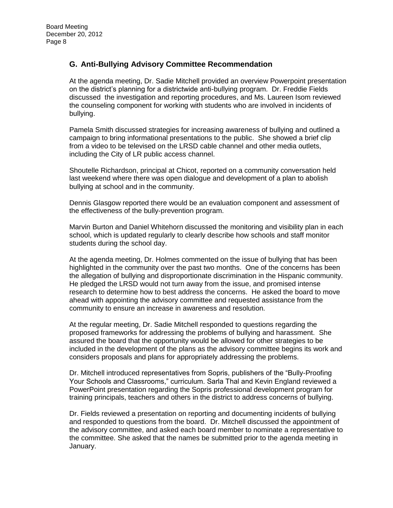### **G. Anti-Bullying Advisory Committee Recommendation**

At the agenda meeting, Dr. Sadie Mitchell provided an overview Powerpoint presentation on the district's planning for a districtwide anti-bullying program. Dr. Freddie Fields discussed the investigation and reporting procedures, and Ms. Laureen Isom reviewed the counseling component for working with students who are involved in incidents of bullying.

Pamela Smith discussed strategies for increasing awareness of bullying and outlined a campaign to bring informational presentations to the public. She showed a brief clip from a video to be televised on the LRSD cable channel and other media outlets, including the City of LR public access channel.

Shoutelle Richardson, principal at Chicot, reported on a community conversation held last weekend where there was open dialogue and development of a plan to abolish bullying at school and in the community.

Dennis Glasgow reported there would be an evaluation component and assessment of the effectiveness of the bully-prevention program.

Marvin Burton and Daniel Whitehorn discussed the monitoring and visibility plan in each school, which is updated regularly to clearly describe how schools and staff monitor students during the school day.

At the agenda meeting, Dr. Holmes commented on the issue of bullying that has been highlighted in the community over the past two months. One of the concerns has been the allegation of bullying and disproportionate discrimination in the Hispanic community. He pledged the LRSD would not turn away from the issue, and promised intense research to determine how to best address the concerns. He asked the board to move ahead with appointing the advisory committee and requested assistance from the community to ensure an increase in awareness and resolution.

At the regular meeting, Dr. Sadie Mitchell responded to questions regarding the proposed frameworks for addressing the problems of bullying and harassment. She assured the board that the opportunity would be allowed for other strategies to be included in the development of the plans as the advisory committee begins its work and considers proposals and plans for appropriately addressing the problems.

Dr. Mitchell introduced representatives from Sopris, publishers of the "Bully-Proofing Your Schools and Classrooms," curriculum. Sarla Thal and Kevin England reviewed a PowerPoint presentation regarding the Sopris professional development program for training principals, teachers and others in the district to address concerns of bullying.

Dr. Fields reviewed a presentation on reporting and documenting incidents of bullying and responded to questions from the board. Dr. Mitchell discussed the appointment of the advisory committee, and asked each board member to nominate a representative to the committee. She asked that the names be submitted prior to the agenda meeting in January.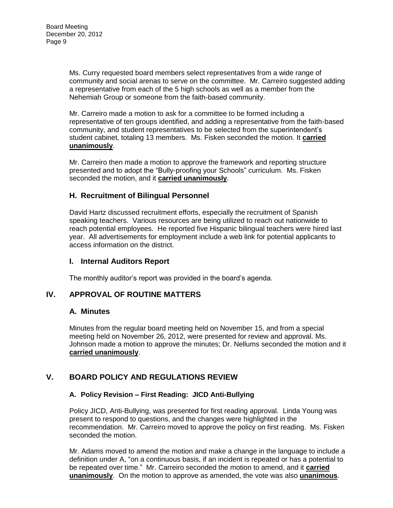Ms. Curry requested board members select representatives from a wide range of community and social arenas to serve on the committee. Mr. Carreiro suggested adding a representative from each of the 5 high schools as well as a member from the Nehemiah Group or someone from the faith-based community.

Mr. Carreiro made a motion to ask for a committee to be formed including a representative of ten groups identified, and adding a representative from the faith-based community, and student representatives to be selected from the superintendent's student cabinet, totaling 13 members. Ms. Fisken seconded the motion. It **carried unanimously**.

Mr. Carreiro then made a motion to approve the framework and reporting structure presented and to adopt the "Bully-proofing your Schools" curriculum. Ms. Fisken seconded the motion, and it **carried unanimously**.

## **H. Recruitment of Bilingual Personnel**

David Hartz discussed recruitment efforts, especially the recruitment of Spanish speaking teachers. Various resources are being utilized to reach out nationwide to reach potential employees. He reported five Hispanic bilingual teachers were hired last year. All advertisements for employment include a web link for potential applicants to access information on the district.

### **I. Internal Auditors Report**

The monthly auditor's report was provided in the board's agenda.

## **IV. APPROVAL OF ROUTINE MATTERS**

### **A. Minutes**

Minutes from the regular board meeting held on November 15, and from a special meeting held on November 26, 2012, were presented for review and approval. Ms. Johnson made a motion to approve the minutes; Dr. Nellums seconded the motion and it **carried unanimously**.

# **V. BOARD POLICY AND REGULATIONS REVIEW**

### **A. Policy Revision – First Reading: JICD Anti-Bullying**

Policy JICD, Anti-Bullying, was presented for first reading approval. Linda Young was present to respond to questions, and the changes were highlighted in the recommendation. Mr. Carreiro moved to approve the policy on first reading. Ms. Fisken seconded the motion.

Mr. Adams moved to amend the motion and make a change in the language to include a definition under A, "on a continuous basis, if an incident is repeated or has a potential to be repeated over time." Mr. Carreiro seconded the motion to amend, and it **carried unanimously**. On the motion to approve as amended, the vote was also **unanimous**.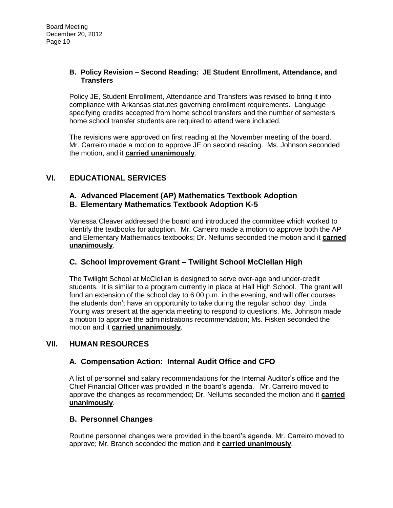#### **B. Policy Revision – Second Reading: JE Student Enrollment, Attendance, and Transfers**

Policy JE, Student Enrollment, Attendance and Transfers was revised to bring it into compliance with Arkansas statutes governing enrollment requirements. Language specifying credits accepted from home school transfers and the number of semesters home school transfer students are required to attend were included.

The revisions were approved on first reading at the November meeting of the board. Mr. Carreiro made a motion to approve JE on second reading. Ms. Johnson seconded the motion, and it **carried unanimously**.

# **VI. EDUCATIONAL SERVICES**

## **A. Advanced Placement (AP) Mathematics Textbook Adoption B. Elementary Mathematics Textbook Adoption K-5**

Vanessa Cleaver addressed the board and introduced the committee which worked to identify the textbooks for adoption. Mr. Carreiro made a motion to approve both the AP and Elementary Mathematics textbooks; Dr. Nellums seconded the motion and it **carried unanimously**.

# **C. School Improvement Grant – Twilight School McClellan High**

The Twilight School at McClellan is designed to serve over-age and under-credit students. It is similar to a program currently in place at Hall High School. The grant will fund an extension of the school day to 6:00 p.m. in the evening, and will offer courses the students don't have an opportunity to take during the regular school day. Linda Young was present at the agenda meeting to respond to questions. Ms. Johnson made a motion to approve the administrations recommendation; Ms. Fisken seconded the motion and it **carried unanimously**.

### **VII. HUMAN RESOURCES**

### **A. Compensation Action: Internal Audit Office and CFO**

A list of personnel and salary recommendations for the Internal Auditor's office and the Chief Financial Officer was provided in the board's agenda. Mr. Carreiro moved to approve the changes as recommended; Dr. Nellums seconded the motion and it **carried unanimously**.

### **B. Personnel Changes**

Routine personnel changes were provided in the board's agenda. Mr. Carreiro moved to approve; Mr. Branch seconded the motion and it **carried unanimously**.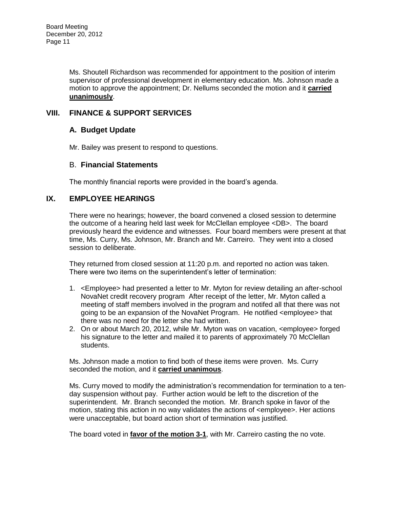Ms. Shoutell Richardson was recommended for appointment to the position of interim supervisor of professional development in elementary education. Ms. Johnson made a motion to approve the appointment; Dr. Nellums seconded the motion and it **carried unanimously**.

## **VIII. FINANCE & SUPPORT SERVICES**

### **A. Budget Update**

Mr. Bailey was present to respond to questions.

#### B. **Financial Statements**

The monthly financial reports were provided in the board's agenda.

### **IX. EMPLOYEE HEARINGS**

There were no hearings; however, the board convened a closed session to determine the outcome of a hearing held last week for McClellan employee <DB>. The board previously heard the evidence and witnesses. Four board members were present at that time, Ms. Curry, Ms. Johnson, Mr. Branch and Mr. Carreiro. They went into a closed session to deliberate.

They returned from closed session at 11:20 p.m. and reported no action was taken. There were two items on the superintendent's letter of termination:

- 1. <Employee> had presented a letter to Mr. Myton for review detailing an after-school NovaNet credit recovery program After receipt of the letter, Mr. Myton called a meeting of staff members involved in the program and notifed all that there was not going to be an expansion of the NovaNet Program. He notified <employee> that there was no need for the letter she had written.
- 2. On or about March 20, 2012, while Mr. Myton was on vacation, <employee> forged his signature to the letter and mailed it to parents of approximately 70 McClellan students.

Ms. Johnson made a motion to find both of these items were proven. Ms. Curry seconded the motion, and it **carried unanimous**.

Ms. Curry moved to modify the administration's recommendation for termination to a tenday suspension without pay. Further action would be left to the discretion of the superintendent. Mr. Branch seconded the motion. Mr. Branch spoke in favor of the motion, stating this action in no way validates the actions of <employee>. Her actions were unacceptable, but board action short of termination was justified.

The board voted in **favor of the motion 3-1**, with Mr. Carreiro casting the no vote.